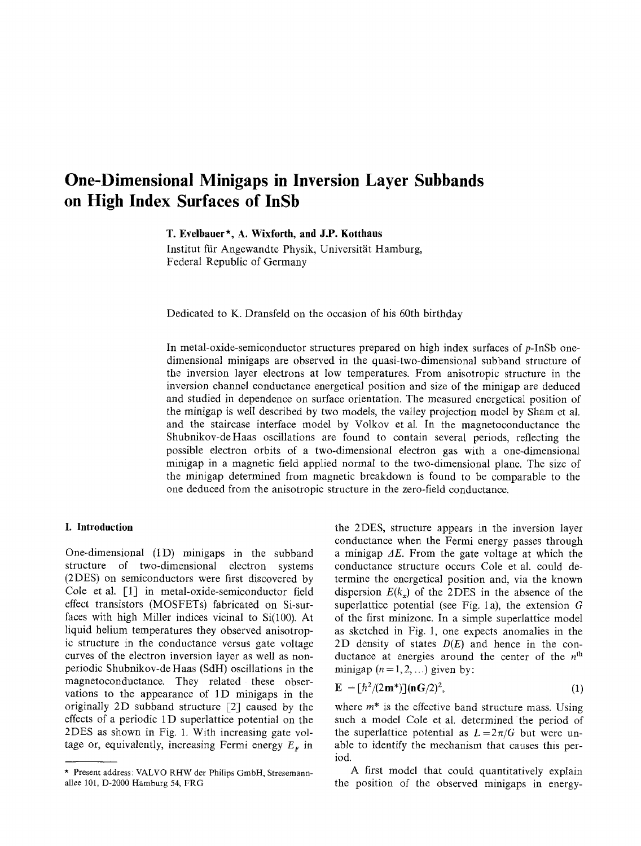# **One-Dimensional Minigaps in Inversion Layer Subbands on High Index Surfaces of InSb**

**T. Eveibauer\*, A. Wixforth, and J.P. Kotthaus**

Institut für Angewandte Physik, Universität Hamburg, Federal Republic of Germany

Dedicated to K. Dransfeld on the occasion of his 60th birthday

In metal-oxide-semiconductor structures prepared on high index surfaces of p-InSb onedimensional minigaps are observed in the quasi-two-dimensional subband structure of the inversion layer electrons at low temperatures. From anisotropic structure in the inversion channel conductance energetical position and size of the minigap are deduced and studied in dependence on surface orientation. The measured energetical position of the minigap is well described by two models, the valley projection model by Sham et al. and the staircase interface model by Volkov et al. In the magnetoconductance the Shubnikov-deHaas oscillations are found to contain several periods, reflecting the possible electron orbits of a two-dimensional electron gas with a one-dimensional minigap in a magnetic field applied normal to the two-dimensional plane. The size of the minigap determined from magnetic breakdown is found to be comparable to the one deduced from the anisotropic structure in the zero-field conductance.

## **I. Introduction**

One-dimensional (1D) minigaps in the subband structure of two-dimensional electron systems (2DES) on semiconductors were first discovered by Cole et al. [1] in metal-oxide-semiconductor field effect transistors (MOSFETs) fabricated on Si-surfaces with high Miller indices vicinal to Si(100). At liquid helium temperatures they observed anisotropic structure in the conductance versus gate voltage curves of the electron inversion layer as well as nonperiodic Shubnikov-de Haas (SdH) oscillations in the magnetoconductance. They related these observations to the appearance of 1D minigaps in the originally 2D subband structure  $[2]$  caused by the effects of a periodic 1D superlattice potential on the 2DES as shown in Fig. 1. With increasing gate voltage or, equivalently, increasing Fermi energy  $E_F$  in the 2DES, structure appears in the inversion layer conductance when the Fermi energy passes through a minigap  $\Delta E$ . From the gate voltage at which the conductance structure occurs Cole et al. could determine the energetical position and, via the known dispersion  $E(k<sub>x</sub>)$  of the 2DES in the absence of the superlattice potential (see Fig. 1a), the extension G of the first minizone. In a simple superlattice model as sketched in Fig. 1, one expects anomalies in the 2D density of states *D(E)* and hence in the conductance at energies around the center of the  $n<sup>th</sup>$ minigap  $(n=1, 2, ...)$  given by:

$$
\mathbf{E} = \left[\hbar^2/(2\mathbf{m}^*)\right] (\mathbf{n}\mathbf{G}/2)^2, \tag{1}
$$

where  $m^*$  is the effective band structure mass. Using such a model Cole et al. determined the period of the superlattice potential as  $L=2\pi/G$  but were unable to identify the mechanism that causes this period.

A first model that could quantitatively explain the position of the observed minigaps in energy-

<sup>\*</sup> Present address: VALVO RHW der Philips GmbH, Stresemannallee 101, D-2000 Hamburg 54, FRG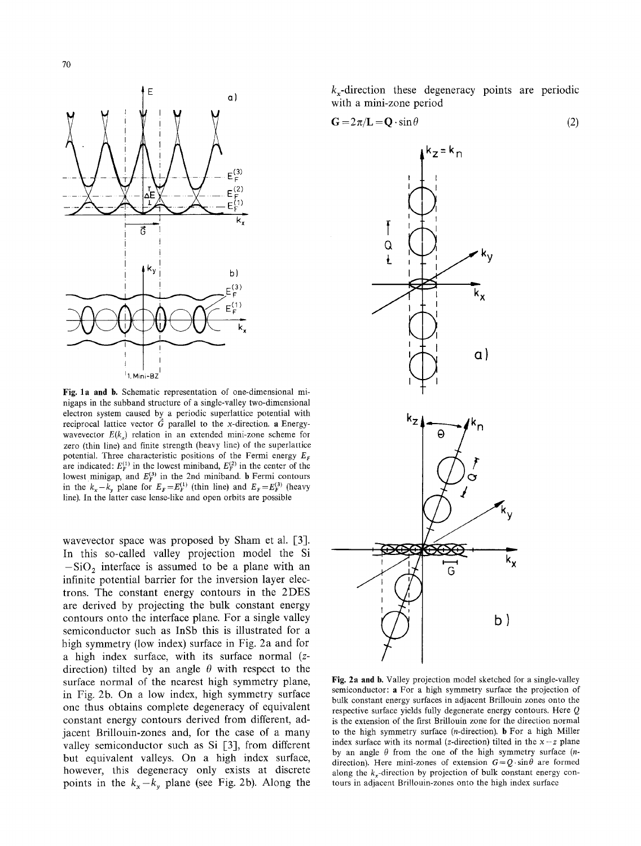

Fig. 1a and b. Schematic representation of one-dimensional minigaps in the subband structure of a single-valley two-dimensional electron system caused by a periodic superlattice potential with reciprocal lattice vector  $\vec{G}$  parallel to the x-direction. a Energywavevector  $E(k<sub>x</sub>)$  relation in an extended mini-zone scheme for zero (thin line) and finite strength (heavy line) of the superlattice potential. Three characteristic positions of the Fermi energy  $E_F$ are indicated:  $E_F^{(1)}$  in the lowest miniband,  $E_F^{(2)}$  in the center of the lowest minigap, and  $E_F^{(3)}$  in the 2nd miniband. **b** Fermi contours in the  $k_x - k_y$  plane for  $E_F = E_F^{(1)}$  (thin line) and  $E_F = E_F^{(3)}$  (heavy line). In the latter case lense-like and open orbits are possible

wavevector space was proposed by Sham et al. [3]. In this so-called valley projection model the Si  $-SiO<sub>2</sub>$  interface is assumed to be a plane with an infinite potential barrier for the inversion layer electrons. The constant energy contours in the 2DES are derived by projecting the bulk constant energy contours onto the interface plane. For a single valley semiconductor such as InSb this is illustrated for a high symmetry (low index) surface in Fig. 2a and for a high index surface, with its surface normal (zdirection) tilted by an angle  $\theta$  with respect to the surface normal of the nearest high symmetry plane, in Fig. 2b. On a low index, high symmetry surface one thus obtains complete degeneracy of equivalent constant energy contours derived from different, adjacent Brillouin-zones and, for the case of a many valley semiconductor such as Si [3], from different but equivalent valleys. On a high index surface, however, this degeneracy only exists at discrete points in the  $k_x - k_y$  plane (see Fig. 2b). Along the

 $k<sub>x</sub>$ -direction these degeneracy points are periodic with a mini-zone period

$$
G = 2\pi/L = Q \cdot \sin \theta \tag{2}
$$



Fig. 2a and b. Valley projection model sketched for a single-valley semiconductor: a For a high symmetry surface the projection of bulk constant energy surfaces in adjacent Brillouin zones onto the respective surface yields fully degenerate energy contours. Here Q is the extension of the first Brillouin zone for the direction normal to the high symmetry surface (n-direction). b For a high Miller index surface with its normal (*z*-direction) tilted in the  $x - z$  plane by an angle  $\theta$  from the one of the high symmetry surface (ndirection). Here mini-zones of extension  $G = Q \cdot \sin\theta$  are formed along the  $k_r$ -direction by projection of bulk constant energy contours in adjacent Brillouin-zones onto the high index surface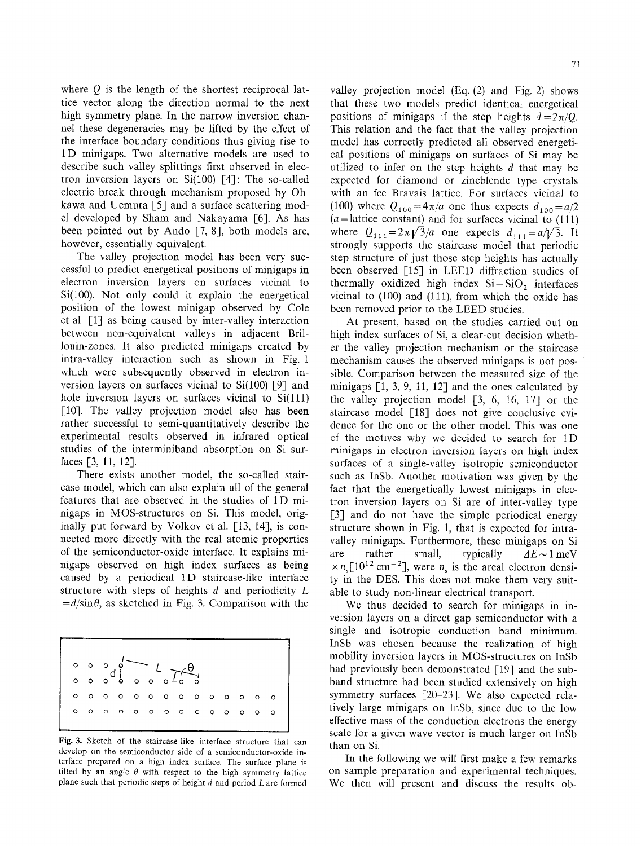where  $Q$  is the length of the shortest reciprocal lattice vector along the direction normal to the next high symmetry plane. In the narrow inversion channel these degeneracies may be lifted by the effect of the interface boundary conditions thus giving rise to 1D minigaps. Two alternative models are used to describe such valley splittings first observed in electron inversion layers on  $Si(100)$  [4]: The so-called electric break through mechanism proposed by Ohkawa and Uemura [5] and a surface scattering model developed by Sham and Nakayama [6]. As has been pointed out by Ando [7, 8], both models are, however, essentially equivalent.

The valley projection model has been very successful to predict energetical positions of minigaps in electron inversion layers on surfaces vicinal to Si(100). Not only could it explain the energetical position of the lowest minigap observed by Cole et al. [1] as being caused by inter-valley interaction between non-equivalent valleys in adjacent Brillouin-zones. It also predicted minigaps created by intra-valley interaction such as shown in Fig. 1 which were subsequently observed in electron inversion layers on surfaces vicinal to Si(100) [91 and hole inversion layers on surfaces vicinal to  $Si(111)$ [10]. The valley projection model also has been rather successful to semi-quantitatively describe the experimental results observed in infrared optical studies of the interminiband absorption on Si surfaces [3, 11, 12].

There exists another model, the so-called staircase model, which can also explain all of the general features that are observed in the studies of 1D minigaps in MOS-structures on Si. This model, originally put forward by Volkov et al. [13, 14], is connected more directly with the real atomic properties of the semiconductor-oxide interface. It explains minigaps observed on high index surfaces as being caused by a periodical 1D staircase-like interface structure with steps of heights  $d$  and periodicity  $L$  $=$ *d*/sin $\theta$ , as sketched in Fig. 3. Comparison with the

|         |  | $\begin{picture}(180,10) \put(0,0){\line(1,0){10}} \put(15,0){\line(1,0){10}} \put(15,0){\line(1,0){10}} \put(15,0){\line(1,0){10}} \put(15,0){\line(1,0){10}} \put(15,0){\line(1,0){10}} \put(15,0){\line(1,0){10}} \put(15,0){\line(1,0){10}} \put(15,0){\line(1,0){10}} \put(15,0){\line(1,0){10}} \put(15,0){\line(1,0){10}} \put(15,0){\line($ |  |  |  |  |                 |                                                                                                                                                                                                      |
|---------|--|-----------------------------------------------------------------------------------------------------------------------------------------------------------------------------------------------------------------------------------------------------------------------------------------------------------------------------------------------------|--|--|--|--|-----------------|------------------------------------------------------------------------------------------------------------------------------------------------------------------------------------------------------|
|         |  |                                                                                                                                                                                                                                                                                                                                                     |  |  |  |  |                 |                                                                                                                                                                                                      |
|         |  |                                                                                                                                                                                                                                                                                                                                                     |  |  |  |  |                 | $0\hspace{10pt} 0\hspace{10pt} 0\hspace{10pt} 0\hspace{10pt} 0\hspace{10pt} 0\hspace{10pt} 0\hspace{10pt} 0\hspace{10pt} 0\hspace{10pt} 0\hspace{10pt} 0\hspace{10pt} 0\hspace{10pt} 0\hspace{10pt}$ |
| $\circ$ |  |                                                                                                                                                                                                                                                                                                                                                     |  |  |  |  | 000000000000000 |                                                                                                                                                                                                      |
|         |  |                                                                                                                                                                                                                                                                                                                                                     |  |  |  |  |                 |                                                                                                                                                                                                      |

Fig. 3. Sketch of the staircase-like interface structure that can develop on the semiconductor side of a semiconductor-oxide interface prepared on a high index surface. The surface plane is tilted by an angle  $\theta$  with respect to the high symmetry lattice plane such that periodic steps of height  $d$  and period  $L$  are formed

valley projection model (Eq. (2) and Fig. 2) shows that these two models predict identical energetical positions of minigaps if the step heights  $d=2\pi/Q$ . This relation and the fact that the valley projection model has correctly predicted all observed energetical positions of minigaps on surfaces of Si may be utilized to infer on the step heights d that may be expected for diamond or zincblende type crystals with an fcc Bravais lattice. For surfaces vicinal to (100) where  $Q_{100} = 4\pi/a$  one thus expects  $d_{100} = a/2$  $(a=$  lattice constant) and for surfaces vicinal to  $(111)$ where  $Q_{111} = 2\pi\sqrt{3}/a$  one expects  $d_{111} = a/\sqrt{3}$ . It strongly supports the staircase model that periodic step structure of just those step heights has actually been observed [15] in LEED diffraction studies of thermally oxidized high index  $Si-SiO<sub>2</sub>$  interfaces vicinal to (100) and (111), from which the oxide has been removed prior to the LEED studies.

At present, based on the studies carried out on high index surfaces of Si, a clear-cut decision whether the valley projection mechanism or the staircase mechanism causes the observed minigaps is not possible. Comparison between the measured size of the minigaps  $\lceil 1, 3, 9, 11, 12 \rceil$  and the ones calculated by the valley projection model [3, 6, 16, 17] or the staircase model [18] does not give conclusive evidence for the one or the other model. This was one of the motives why we decided to search for 1D minigaps in electron inversion layers on high index surfaces of a single-valley isotropic semiconductor such as InSb. Another motivation was given by the fact that the energetically lowest minigaps in electron inversion layers on Si are of inter-valley type [3] and do not have the simple periodical energy structure shown in Fig. 1, that is expected for intravalley minigaps. Furthermore, these minigaps on Si are rather small, typically  $AE \sim 1$  meV  $\times n_s[10^{12} \text{ cm}^{-2}]$ , were  $n_s$  is the areal electron density in the DES. This does not make them very suitable to study non-linear electrical transport.

We thus decided to search for minigaps in inversion layers on a direct gap semiconductor with a single and isotropic conduction band minimum. InSb was chosen because the realization of high mobility inversion layers in MOS-structures on InSb had previously been demonstrated  $\lceil 19 \rceil$  and the subband structure had been studied extensively on high symmetry surfaces [20-23]. We also expected relatively large minigaps on InSb, since due to the low effective mass of the conduction electrons the energy scale for a given wave vector is much larger on InSb than on Si.

In the following we will first make a few remarks on sample preparation and experimental techniques. We then will present and discuss the results ob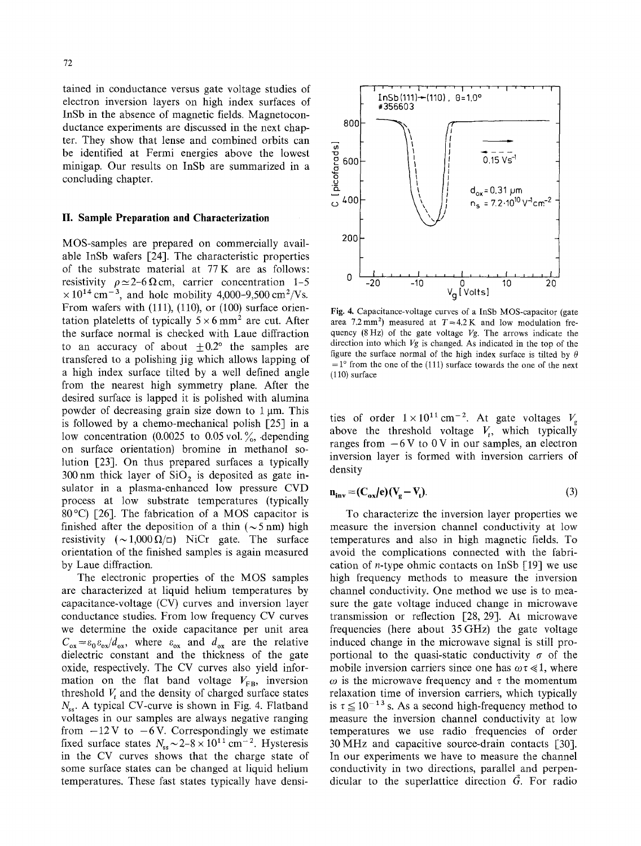tained in conductance versus gate voltage studies of electron inversion layers on high index surfaces of InSb in the absence of magnetic fields. Magnetoconductance experiments are discussed in the next chapter. They show that lense and combined orbits can be identified at Fermi energies above the lowest minigap. Our results on InSb are summarized in a concluding chapter.

### **II. Sample Preparation and Characterization**

MOS-samples are prepared on commercially available InSb wafers [24]. The characteristic properties of the substrate material at 77K are as follows: resistivity  $\rho \simeq 2-6 \Omega$  cm, carrier concentration 1-5  $\times 10^{14}$  cm<sup>-3</sup>, and hole mobility 4,000-9,500 cm<sup>2</sup>/Vs. From wafers with (111), (110), or (100) surface orientation plateletts of typically  $5 \times 6$  mm<sup>2</sup> are cut. After the surface normal is checked with Laue diffraction to an accuracy of about  $\pm 0.2$  the samples are transfered to a polishing jig which allows lapping of a high index surface tilted by a well defined angle from the nearest high symmetry plane. After the desired surface is lapped it is polished with alumina powder of decreasing grain size down to  $1 \mu m$ . This is followed by a chemo-mechanical polish [25] in a low concentration (0.0025 to 0.05 vol.  $\%$ , depending on surface orientation) bromine in methanol solution [23]. On thus prepared surfaces a typically 300 nm thick layer of  $SiO<sub>2</sub>$  is deposited as gate insulator in a plasma-enhanced low pressure CVD process at low substrate temperatures (typically 80 °C) [26]. The fabrication of a MOS capacitor is finished after the deposition of a thin ( $\sim$ 5 nm) high resistivity  $(\sim 1,000 \Omega/\square)$  NiCr gate. The surface orientation of the finished samples is again measured by Laue diffraction.

The electronic properties of the MOS samples are characterized at liquid helium temperatures by capacitance-voltage (CV) curves and inversion layer conductance studies. From low frequency CV curves we determine the oxide capacitance per unit area  $C_{ox} = \varepsilon_0 \varepsilon_{ox}/d_{ox}$ , where  $\varepsilon_{ox}$  and  $d_{ox}$  are the relative dielectric constant and the thickness of the gate oxide, respectively. The CV curves also yield information on the flat band voltage  $V_{FB}$ , inversion threshold  $V_t$  and the density of charged surface states  $N_{ss}$ . A typical CV-curve is shown in Fig. 4. Flatband voltages in our samples are always negative ranging from  $-12V$  to  $-6V$ . Correspondingly we estimate fixed surface states  $N_{ss} \sim 2-8 \times 10^{11} \text{ cm}^{-2}$ . Hysteresis in the CV curves shows that the charge state of some surface states can be changed at liquid helium temperatures. These fast states typically have densi-



Fig. 4, Capacitance-voltage curves of a InSb MOS-capacitor (gate area 7.2 mm<sup>2</sup>) measured at  $T=4.2$  K and low modulation frequency (8 Hz) of the gate voltage *Vg.* The arrows indicate the direction into which *Vg* is changed. As indicated in the top of the figure the surface normal of the high index surface is tilted by  $\theta$  $=1^{\circ}$  from the one of the (111) surface towards the one of the next (110) surface

ties of order  $1 \times 10^{11}$  cm<sup>-2</sup>. At gate voltages  $V_g$ above the threshold voltage  $V_t$ , which typically ranges from  $-6V$  to 0 V in our samples, an electron inversion layer is formed with inversion carriers of density

$$
\mathbf{n}_{\text{inv}} = (\mathbf{C}_{\text{ox}}/\mathbf{e})(\mathbf{V}_{\text{g}} - \mathbf{V}_{\text{t}}). \tag{3}
$$

To characterize the inversion layer properties we measure the inversion channel conductivity at low temperatures and also in high magnetic fields. To avoid the complications connected with the fabrication of *n*-type ohmic contacts on InSb  $\lceil 19 \rceil$  we use high frequency methods to measure the inversion channel conductivity. One method we use is to measure the gate voltage induced change in microwave transmission or reflection [28, 29]. At microwave frequencies (here about 35 GHz) the gate voltage induced change in the microwave signal is still proportional to the quasi-static conductivity  $\sigma$  of the mobile inversion carriers since one has  $\omega \tau \ll 1$ , where  $\omega$  is the microwave frequency and  $\tau$  the momentum relaxation time of inversion carriers, which typically is  $\tau \leq 10^{-13}$  s. As a second high-frequency method to measure the inversion channel conductivity at low temperatures we use radio frequencies of order  $30 \text{ MHz}$  and capacitive source-drain contacts [30]. In our experiments we have to measure the channel conductivity in two directions, parallel and perpendicular to the superlattice direction G. For **radio**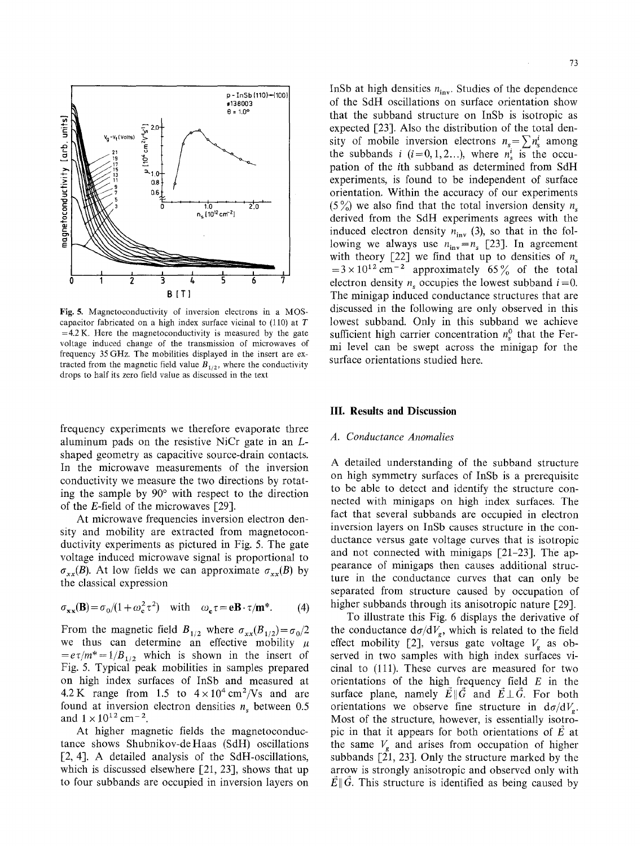

Fig. 5. Magnetoconductivity of inversion electrons in a MOScapacitor fabricated on a high index surface vicinal to  $(110)$  at T  $=4.2$  K. Here the magnetoconductivity is measured by the gate voltage induced change of the transmission of microwaves of frequency 35GHz. The mobilities displayed in the insert are extracted from the magnetic field value  $B_{1/2}$ , where the conductivity drops to half its zero field value as discussed in the text

frequency experiments we therefore evaporate three aluminum pads on the resistive NiCr gate in an Lshaped geometry as capacitive source-drain contacts. In the microwave measurements of the inversion conductivity we measure the two directions by rotating the sample by  $90^{\circ}$  with respect to the direction of the E-field of the microwaves  $[29]$ .

At microwave frequencies inversion electron density and mobility are extracted from magnetoconductivity experiments as pictured in Fig. 5. The gate voltage induced microwave signal is proportional to  $\sigma_{xx}(B)$ . At low fields we can approximate  $\sigma_{xx}(B)$  by the classical expression

$$
\sigma_{xx}(\mathbf{B}) = \sigma_0/(1 + \omega_c^2 \tau^2) \quad \text{with} \quad \omega_c \tau = e\mathbf{B} \cdot \tau/\mathbf{m}^*.
$$
 (4)

From the magnetic field  $B_{1/2}$  where  $\sigma_{xx}(B_{1/2}) = \sigma_0/2$ we thus can determine an effective mobility  $\mu$  $=e\tau/m^*=1/B_{1/2}$  which is shown in the insert of Fig. 5. Typical peak mobilities in samples prepared on high index surfaces of InSb and measured at 4.2 K range from 1.5 to  $4 \times 10^4$  cm<sup>2</sup>/Vs and are found at inversion electron densities  $n<sub>s</sub>$  between 0.5 and  $1 \times 10^{12}$  cm<sup>-2</sup>.

At higher magnetic fields the magnetoconductance shows Shubnikov-deHaas (SdH) oscillations [2, 4]. A detailed analysis of the SdH-oscillations, which is discussed elsewhere [21, 23], shows that up to four subbands are occupied in inversion layers on

InSb at high densities  $n_{\text{inv}}$ . Studies of the dependence of the SdH oscillations on surface orientation show that the subband structure on InSb is isotropic as expected [23]. Also the distribution of the total density of mobile inversion electrons  $n_s = \sum n_s^i$  among the subbands i  $(i=0,1,2...),$  where  $n_s^i$  is the occupation of the ith subband as determined from SdH experiments, is found to be independent of surface orientation. Within the accuracy of our experiments (5%) we also find that the total inversion density  $n_s$ derived from the SdH experiments agrees with the induced electron density  $n_{\text{inv}}$  (3), so that in the following we always use  $n_{\text{inv}}=n_s$  [23]. In agreement with theory [22] we find that up to densities of  $n<sub>s</sub>$  $=3 \times 10^{12}$  cm<sup>-2</sup> approximately 65% of the total electron density *n*<sub>c</sub> occupies the lowest subband  $i=0$ . The minigap induced conductance structures that are discussed in the following are only observed in this lowest subband. Only in this subband we achieve sufficient high carrier concentration  $n_s^0$  that the Fermi level can be swept across the minigap for the surface orientations studied here.

#### **IlL Results and Discussion**

#### *A. Conductance Anomalies*

A detailed understanding of the subband structure on high symmetry surfaces of InSb is a prerequisite to be able to detect and identify the structure connected with minigaps on high index surfaces. The fact that several subbands are occupied in electron inversion layers on InSb causes structure in the conductance versus gate voltage curves that is isotropic and not connected with minigaps  $[21-23]$ . The appearance of minigaps then causes additional structure in the conductance curves that can only be separated from structure caused by occupation of higher subbands through its anisotropic nature [29].

To illustrate this Fig. 6 displays the derivative of the conductance  $d\sigma/dV_g$ , which is related to the field effect mobility [2], versus gate voltage  $V_{\sigma}$  as observed in two samples with high index surfaces vicinal to (111). These curves are measured for two orientations of the high frequency field  $E$  in the surface plane, namely  $\vec{E} \parallel \vec{G}$  and  $\vec{E} \perp \vec{G}$ . For both orientations we observe fine structure in  $d\sigma/dV_g$ . Most of the structure, however, is essentially isotropic in that it appears for both orientations of  $\vec{E}$  at the same  $V_g$  and arises from occupation of higher subbands  $[21, 23]$ . Only the structure marked by the arrow is strongly anisotropic and observed only with  $\mathbf{E} \parallel \mathbf{G}$ . This structure is identified as being caused by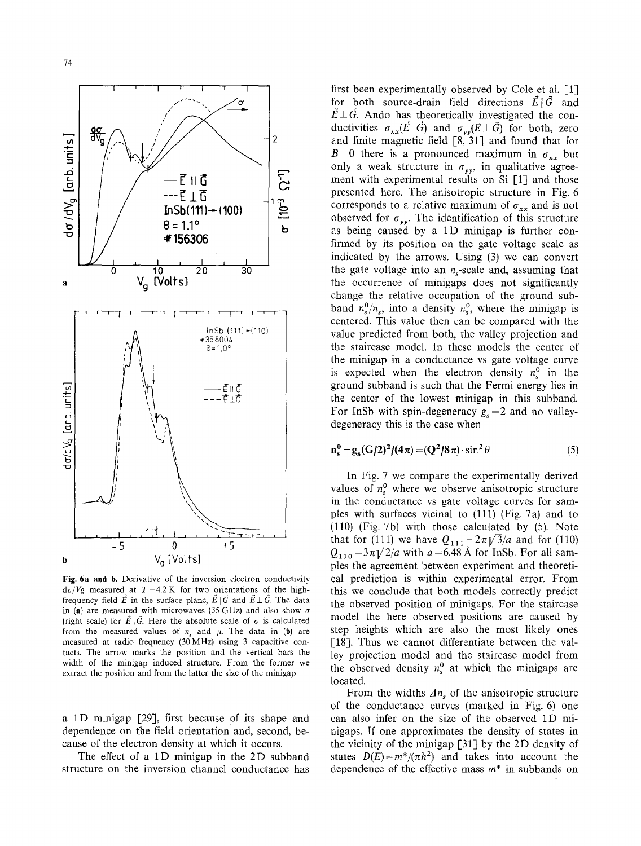

Fig. **6a and** b. Derivative of the inversion electron conductivity  $d\sigma/Vg$  measured at  $T=4.2$  K for two orientations of the highfrequency field  $\vec{E}$  in the surface plane,  $\vec{E} \parallel \vec{G}$  and  $\vec{E} \perp \vec{G}$ . The data in (a) are measured with microwaves (35 GHz) and also show  $\sigma$ (right scale) for  $\vec{E} \parallel \vec{G}$ . Here the absolute scale of  $\sigma$  is calculated from the measured values of  $n<sub>s</sub>$  and  $\mu$ . The data in (b) are measured at radio frequency (30MHz) using 3 capacitive contacts. The arrow marks the position and the vertical bars the width of the minigap induced structure. From the former we extract the position and from the latter the size of the minigap

a 1D minigap [29], first because of its shape and dependence on the field orientation and, second, because of the electron density at which it occurs.

The effect of a 1D minigap in the 2D subband structure on the inversion channel conductance has

first been experimentally observed by Cole et al. [1] for both source-drain field directions  $\vec{E} \parallel \vec{G}$  and  $\vec{E} \perp \vec{G}$ . Ando has theoretically investigated the conductivities  $\sigma_{xx}(\vec{E} \parallel \vec{G})$  and  $\sigma_{yy}(\vec{E} \perp \vec{G})$  for both, zero and finite magnetic field [8, 31] and found that for  $B=0$  there is a pronounced maximum in  $\sigma_{xx}$  but only a weak structure in  $\sigma_{yy}$ , in qualitative agreement with experimental results on Si [1] and those presented here. The anisotropic structure in Fig. 6 corresponds to a relative maximum of  $\sigma_{xx}$  and is not observed for  $\sigma_{yy}$ . The identification of this structure as being caused by a 1D minigap is further confirmed by its position on the gate voltage scale as indicated by the arrows. Using (3) we can convert the gate voltage into an  $n_s$ -scale and, assuming that the occurrence of minigaps does not significantly change the relative occupation of the ground subband  $n_{s}^{0}/n_{s}$ , into a density  $n_{s}^{0}$ , where the minigap is centered. This value then can be compared with the value predicted from both, the valley projection and the staircase model. In these models the center of the minigap in a conductance vs gate voltage curve is expected when the electron density  $n_s^0$  in the ground subband is such that the Fermi energy lies in the center of the lowest minigap in this subband. For InSb with spin-degeneracy  $g_s = 2$  and no valleydegeneracy this is the case when

$$
\mathbf{n_s^0} = \mathbf{g_s}(\mathbf{G}/2)^2/(4\pi) = (\mathbf{Q}^2/8\pi) \cdot \sin^2\theta \tag{5}
$$

In Fig. 7 we compare the experimentally derived values of  $n_s^0$  where we observe anisotropic structure in the conductance vs gate voltage curves for samples with surfaces vicinal to (111) (Fig. 7a) and to (110) (Fig. 7b) with those calculated by (5). Note that for (111) we have  $Q_{111} = 2\pi \sqrt{3}/a$  and for (110)  $Q_{110}$  =3 $\pi$ V2/a with a=6.48 Å for InSb. For all samples the agreement between experiment and theoretical prediction is within experimental error. From this we conclude that both models correctly predict the observed position of minigaps. For the staircase model the here observed positions are caused by step heights which are also the most likely ones [18]. Thus we cannot differentiate between the valley projection model and the staircase model from the observed density  $n_s^0$  at which the minigaps are located.

From the widths  $\Delta n_s$  of the anisotropic structure of the conductance curves (marked in Fig. 6) one can also infer on the size of the observed 1D minigaps. If one approximates the density of states in the vicinity of the minigap [31] by the 2D density of states  $D(E) = m^*/(\pi h^2)$  and takes into account the dependence of the effective mass  $m^*$  in subbands on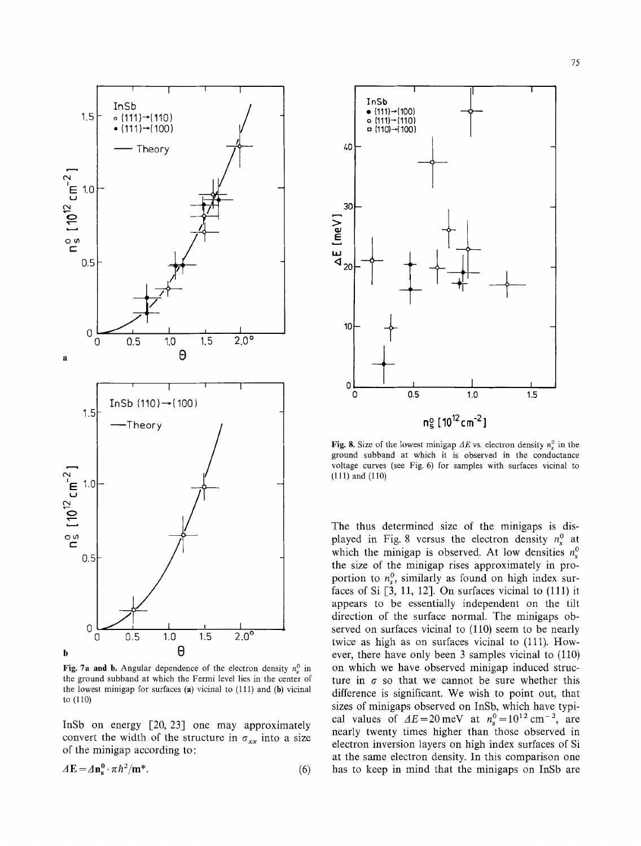

Fig. 7a and b. Angular dependence of the electron density  $n_s^0$  in the ground subband at which the Fermi level lies in the center of the lowest minigap for surfaces (a) vicinal to  $(111)$  and (b) vicinal to  $(110)$ 

InSb on energy [20, 23] one may approximately convert the width of the structure in  $\sigma_{xx}$  into a size of the minigap according to:

$$
\Delta E = \Delta n_s^0 \cdot \pi \hbar^2 / m^*.
$$
 (6)



Fig. 8. Size of the lowest minigap  $\Delta E$  vs. electron density  $n_e^0$  in the ground subband at which it is observed in the conductance voltage curves (see Fig. 6) for samples with surfaces vicinal to  $(111)$  and  $(110)$ 

The thus determined size of the minigaps is displayed in Fig. 8 versus the electron density  $n_s^0$  at which the minigap is observed. At low densities  $n_s^0$ the size of the minigap rises approximately in proportion to  $n_s^0$ , similarly as found on high index surfaces of Si  $[3, 11, 12]$ . On surfaces vicinal to  $(111)$  it appears to be essentially independent on the tilt direction of the surface normal. The minigaps observed on surfaces vicinal to (110) seem to be nearly twice as high as on surfaces vicinal to (111). However, there have only been 3 samples vicinal to (110) on which we have observed minigap induced structure in  $\sigma$  so that we cannot be sure whether this difference is significant. We wish to point out, that sizes of minigaps observed on InSb, which have typical values of  $\Delta E = 20$  meV at  $n_s^0 = 10^{12}$  cm<sup>-2</sup>, are nearly twenty times higher than those observed in electron inversion layers on high index surfaces of Si at the same electron density. In this comparison one has to keep in mind that the minigaps on InSb are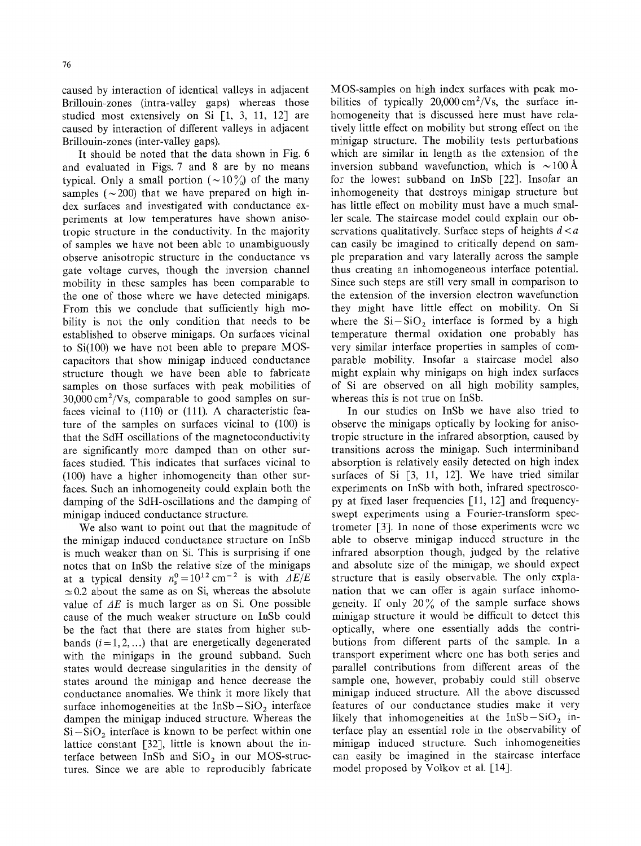caused by interaction of identical valleys in adjacent Brillouin-zones (intra-valley gaps) whereas those studied most extensively on Si  $\lceil 1, 3, 11, 12 \rceil$  are caused by interaction of different valleys in adjacent Brillouin-zones (inter-valley gaps).

It should be noted that the data shown in Fig. 6 and evaluated in Figs. 7 and 8 are by no means typical. Only a small portion ( $\sim$ 10%) of the many samples ( $\sim$  200) that we have prepared on high index surfaces and investigated with conductance experiments at low temperatures have shown anisotropic structure in the conductivity. In the majority of samples we have not been able to unambiguously observe anisotropic structure in the conductance vs gate voltage curves, though the inversion channel mobility in these samples has been comparable to the one of those where we have detected minigaps. From this we conclude that sufficiently high mobility is not the only condition that needs to be established to observe minigaps. On surfaces vicinal to Si(100) we have not been able to prepare MOScapacitors that show minigap induced conductance structure though we have been able to fabricate samples on those surfaces with peak mobilities of  $30,000 \text{ cm}^2/\text{Vs}$ , comparable to good samples on surfaces vicinal to (110) or (111). A characteristic feature of the samples on surfaces vicinal to (100) is that the SdH oscillations of the magnetoconductivity are significantly more damped than on other surfaces studied. This indicates that surfaces vicinal to (100) have a higher inhomogeneity than other surfaces. Such an inhomogeneity could explain both the damping of the SdH-oscillations and the damping of minigap induced conductance structure.

We also want to point out that the magnitude of the minigap induced conductance structure on InSb is much weaker than on Si. This is surprising if one notes that on InSb the relative size of the minigaps at a typical density  $n_s^0 = 10^{12}$  cm<sup>-2</sup> is with  $\Delta E/E$  $\approx$ 0.2 about the same as on Si, whereas the absolute value of  $\Delta E$  is much larger as on Si. One possible cause of the much weaker structure on InSb could be the fact that there are states from higher subbands  $(i=1,2,...)$  that are energetically degenerated with the minigaps in the ground subband. Such states would decrease singularities in the density of states around the minigap and hence decrease the conductance anomalies. We think it more likely that surface inhomogeneities at the  $InSb-SiO<sub>2</sub>$  interface dampen the minigap induced structure. Whereas the  $Si-SiO<sub>2</sub>$  interface is known to be perfect within one lattice constant [32], little is known about the interface between InSb and  $SiO<sub>2</sub>$  in our MOS-structures. Since we are able to reproducibly fabricate MOS-samples on high index surfaces with peak mobilities of typically  $20,000 \text{ cm}^2/\text{Vs}$ , the surface inhomogeneity that is discussed here must have relatively little effect on mobility but strong effect on the minigap structure. The mobility tests perturbations which are similar in length as the extension of the inversion subband wavefunction, which is  $\sim 100~\text{\AA}$ for the lowest subband on InSb [22]. Insofar an inhomogeneity that destroys minigap structure but has little effect on mobility must have a much smaller scale. The staircase model could explain our observations qualitatively. Surface steps of heights  $d < a$ can easily be imagined to critically depend on sample preparation and vary laterally across the sample thus creating an inhomogeneous interface potential. Since such steps are still very small in comparison to the extension of the inversion electron wavefunction they might have little effect on mobility. On Si where the  $Si-SiO<sub>2</sub>$  interface is formed by a high temperature thermal oxidation one probably has very similar interface properties in samples of comparable mobility. Insofar a staircase model also might explain why minigaps on high index surfaces of Si are observed on all high mobility samples, whereas this is not true on InSb.

In our studies on InSb we have also tried to observe the minigaps optically by looking for anisotropic structure in the infrared absorption, caused by transitions across the minigap. Such interminiband absorption is relatively easily detected on high index surfaces of Si [3, 11, 12]. We have tried similar experiments on InSb with both, infrared spectroscopy at fixed laser frequencies [11, 12] and frequencyswept experiments using a Fourier-transform spectrometer [3]. In none of those experiments were we able to observe minigap induced structure in the infrared absorption though, judged by the relative and absolute size of the minigap, we should expect structure that is easily observable. The only explanation that we can offer is again surface inhomogeneity. If only  $20\%$  of the sample surface shows minigap structure it would be difficult to detect this optically, where one essentially adds the contributions from different parts of the sample. In a transport experiment where one has both series and parallel contributions from different areas of the sample one, however, probably could still observe minigap induced structure. All the above discussed features of our conductance studies make it very likely that inhomogeneities at the  $InSb-SiO<sub>2</sub>$  interface play an essential role in the observability of minigap induced structure. Such inhomogeneities can easily be imagined in the staircase interface model proposed by Volkov et al. [14].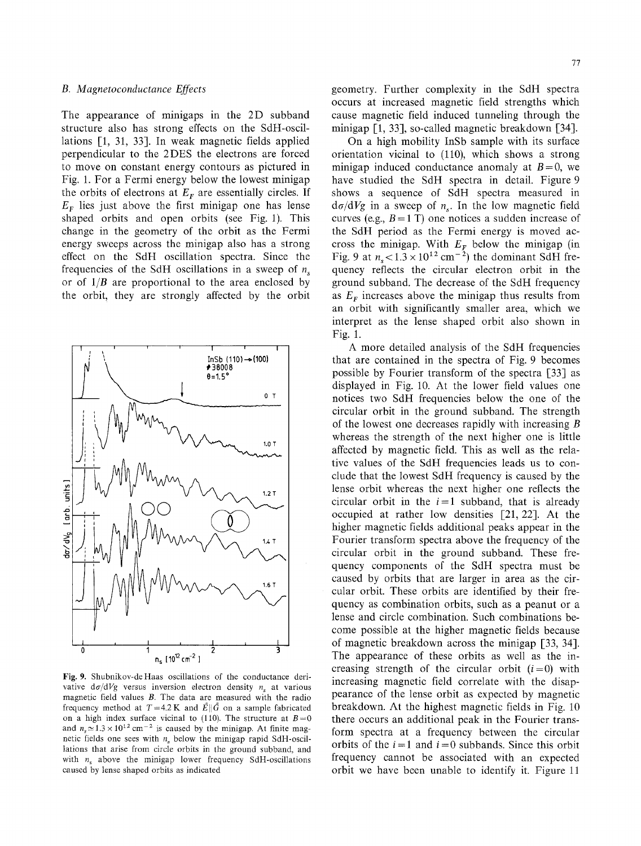The appearance of minigaps in the 2D subband structure also has strong effects on the SdH-oscillations [1, 31, 33]. In weak magnetic fields applied perpendicular to the 2DES the electrons are forced to move on constant energy contours as pictured in Fig. 1. For a Fermi energy below the lowest minigap the orbits of electrons at  $E_F$  are essentially circles. If  $E<sub>F</sub>$  lies just above the first minigap one has lense shaped orbits and open orbits (see Fig. 1). This change in the geometry of the orbit as the Fermi energy sweeps across the minigap also has a strong effect on the SdH oscillation spectra. Since the frequencies of the SdH oscillations in a sweep of  $n<sub>s</sub>$ or of *1/B* are proportional to the area enclosed by the orbit, they are strongly affected by the orbit



Fig. 9. Shubnikov-deHaas oscillations of the conductance derivative  $d\sigma/dVg$  versus inversion electron density n<sub>s</sub> at various magnetic field values B. The data are measured with the radio frequency method at  $T=4.2 \text{ K}$  and  $\vec{E} \parallel \vec{G}$  on a sample fabricated on a high index surface vicinal to (110). The structure at  $B=0$ and  $n_e \approx 1.3 \times 10^{12}$  cm<sup>-2</sup> is caused by the minigap. At finite magnetic fields one sees with  $n<sub>s</sub>$  below the minigap rapid SdH-oscillations that arise from circle orbits in the ground subband, and with  $n_s$  above the minigap lower frequency SdH-oscillations caused by lense shaped orbits as indicated

77

geometry. Further complexity in the SdH spectra occurs at increased magnetic field strengths which cause magnetic field induced tunneling through the minigap [1, 33], so-called magnetic breakdown [34].

On a high mobility InSb sample with its surface orientation vicinat to (110), which shows a strong minigap induced conductance anomaly at  $B=0$ , we have studied the SdH spectra in detail. Figure 9 shows a sequence of SdH spectra measured in  $d\sigma/dVg$  in a sweep of n<sub>s</sub>. In the low magnetic field curves (e.g.,  $B = 1$  T) one notices a sudden increase of the SdH period as the Fermi energy is moved accross the minigap. With  $E_F$  below the minigap (in Fig. 9 at  $n_s < 1.3 \times 10^{12}$  cm<sup>-2</sup>) the dominant SdH frequency reflects the circular electron orbit in the ground subband. The decrease of the SdH frequency as  $E_F$  increases above the minigap thus results from an orbit with significantly smaller area, which we interpret as the lense shaped orbit also shown in Fig. 1.

A more detailed analysis of the SdH frequencies that are contained in the spectra of Fig. 9 becomes possible by Fourier transform of the spectra [33] as displayed in Fig. 10. At the lower field values one notices two SdH frequencies below the one of the circular orbit in the ground subband. The strength of the lowest one decreases rapidly with increasing B whereas the strength of the next higher one is little affected by magnetic field. This as well as the relative values of the SdH frequencies leads us to conclude that the lowest SdH frequency is caused by the lense orbit whereas the next higher one reflects the circular orbit in the  $i=1$  subband, that is already occupied at rather low densities [21, 22]. At the higher magnetic fields additional peaks appear in the Fourier transform spectra above the frequency of the circular orbit in the ground subband. These frequency components of the SdH spectra must be caused by orbits that are larger in area as the circular orbit. These orbits are identified by their frequency as combination orbits, such as a peanut or a lense and circle combination. Such combinations become possible at the higher magnetic fields because of magnetic breakdown across the minigap [33, 34]. The appearance of these orbits as well as the increasing strength of the circular orbit  $(i=0)$  with increasing magnetic field correlate with the disappearance of the lense orbit as expected by magnetic breakdown. At the highest magnetic fields in Fig. 10 there occurs an additional peak in the Fourier transform spectra at a frequency between the circular orbits of the  $i=1$  and  $i=0$  subbands. Since this orbit frequency cannot be associated with an expected orbit we have been unable to identify it. Figure 11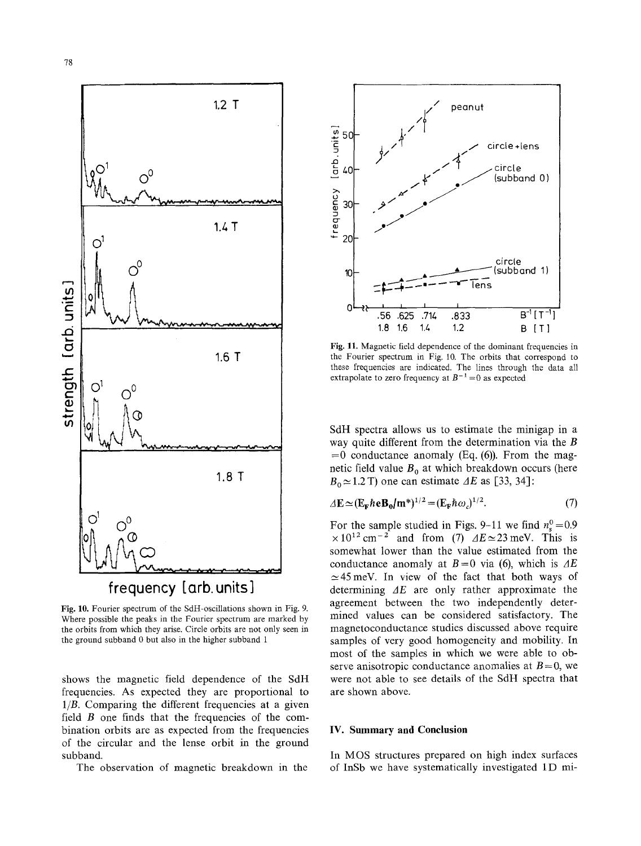

Fig. 10. Fourier spectrum of the SdH-oscillations shown in Fig. 9. Where possible the peaks in the Fourier spectrum are marked by the orbits from which they arise. Circle orbits are not only seen in the ground subband 0 but also in the higher subband 1

shows the magnetic field dependence of the SdH frequencies. As expected they are proportional to  $1/B$ . Comparing the different frequencies at a given field  $B$  one finds that the frequencies of the combination orbits are as expected from the frequencies of the circular and the lense orbit in the ground subband.

The observation of magnetic breakdown in the



Fig. 11. Magnetic field dependence of the dominant frequencies in the Fourier spectrum in Fig. 10. The orbits that correspond to these frequencies are indicated. The lines through the data all extrapolate to zero frequency at  $B^{-1} = 0$  as expected

SdH spectra allows us to estimate the minigap in a way quite different from the determination via the  $B$  $= 0$  conductance anomaly (Eq. (6)). From the magnetic field value  $B_0$  at which breakdown occurs (here  $B_0 \approx 1.2$  T) one can estimate  $\Delta E$  as [33, 34]:

$$
\Delta \mathbf{E} \simeq (\mathbf{E}_{\mathbf{F}} \hbar \mathbf{e} \mathbf{B}_0 / \mathbf{m}^*)^{1/2} = (\mathbf{E}_{\mathbf{F}} \hbar \omega_c)^{1/2}.
$$
 (7)

For the sample studied in Figs. 9-11 we find  $n_s^0 = 0.9$  $\times 10^{12}$  cm<sup>-2</sup> and from (7)  $\Delta E \simeq 23$  meV. This is somewhat lower than the value estimated from the conductance anomaly at  $B=0$  via (6), which is  $\Delta E$  $\simeq$  45 meV. In view of the fact that both ways of determining  $\Delta E$  are only rather approximate the agreement between the two independently determined values can be considered satisfactory. The magnetoconductance studies discussed above require samples of very good homogeneity and mobility. In most of the samples in which we were able to observe anisotropic conductance anomalies at  $B=0$ , we were not able to see details of the SdH spectra that are shown above.

#### IV. Summary and Conclusion

In MOS structures prepared on high index surfaces of InSb we have systematically investigated 1D mi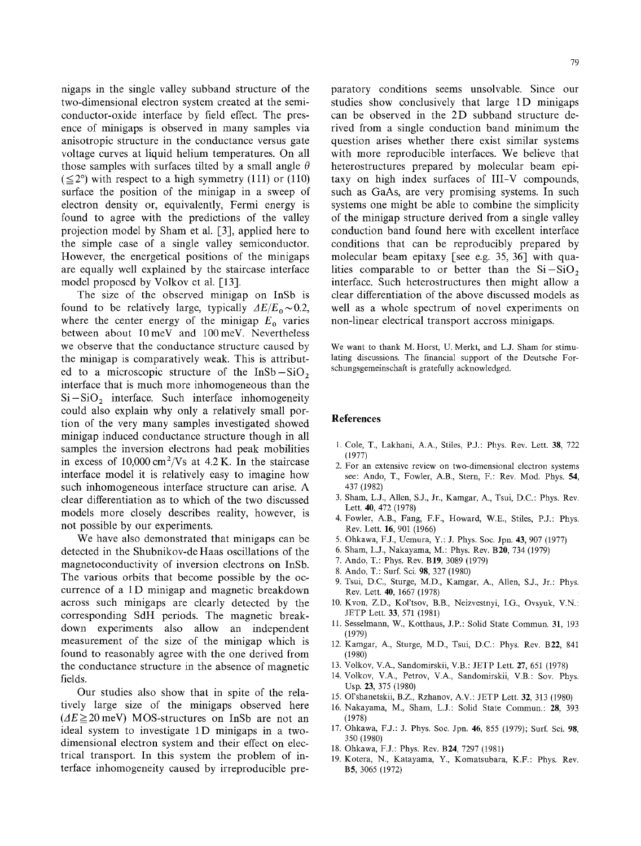nigaps in the single valley subband structure of the two-dimensional electron system created at the semiconductor-oxide interface by field effect. The presence of minigaps is observed in many samples via anisotropic structure in the conductance versus gate voltage curves at liquid helium temperatures. On all those samples with surfaces tilted by a small angle  $\theta$  $(\leq 2^{\circ})$  with respect to a high symmetry (111) or (110) surface the position of the minigap in a sweep of electron density or, equivalently, Fermi energy is found to agree with the predictions of the valley projection model by Sham et al. [3], applied here to the simple case of a single valley semiconductor. However, the energetical positions of the minigaps are equally well explained by the staircase interface model proposed by Volkov et al. [13].

The size of the observed minigap on InSb is found to be relatively large, typically  $\Delta E/E_0 \sim 0.2$ , where the center energy of the minigap  $E_0$  varies between about 10meV and 100meV. Nevertheless we observe that the conductance structure caused by the minigap is comparatively weak. This is attributed to a microscopic structure of the  $InSb-SiO<sub>2</sub>$ interface that is much more inhomogeneous than the  $Si-SiO<sub>2</sub>$  interface. Such interface inhomogeneity could also explain why only a relatively small portion of the very many samples investigated showed minigap induced conductance structure though in all samples the inversion electrons had peak mobilities in excess of  $10,000 \text{ cm}^2/\text{Vs}$  at 4.2 K. In the staircase interface model it is relatively easy to imagine how such inhomogeneous interface structure can arise. A clear differentiation as to which of the two discussed models more closely describes reality, however, is not possible by our experiments.

We have also demonstrated that minigaps can be detected in the Shubnikov-de Haas oscillations of the magnetoconductivity of inversion electrons on InSb. The various orbits that become possible by the occurrence of a 1D minigap and magnetic breakdown across such minigaps are clearly detected by the corresponding SdH periods. The magnetic breakdown experiments also allow an independent measurement of the size of the minigap which is found to reasonably agree with the one derived from the conductance structure in the absence of magnetic fields.

Our studies also show that in spite of the relatively large size of the minigaps observed here  $(4E \ge 20 \text{ meV})$  MOS-structures on InSb are not an ideal system to investigate 1D minigaps in a twodimensional electron system and their effect on electrical transport. In this system the problem of interface inhomogeneity caused by irreproducible preparatory conditions seems unsolvable. Since our studies show conclusively that large 1D minigaps can be observed in the 2D subband structure derived from a single conduction band minimum the question arises whether there exist similar systems with more reproducible interfaces. We believe that heterostructures prepared by molecular beam epitaxy on high index surfaces of III-V compounds, such as GaAs, are very promising systems. In such systems one might be able to combine the simplicity of the minigap structure derived from a single valley conduction band found here with excellent interface conditions that can be reproducibly prepared by molecular beam epitaxy [see e.g. 35, 36] with qualities comparable to or better than the  $Si-SiO<sub>2</sub>$ interface. Such heterostructures then might allow a clear differentiation of the above discussed models as well as a whole spectrum of novel experiments on non-linear electrical transport accross minigaps.

We want to thank M. Horst, U. Merkt, and LJ. Sham for stimulating discussions. The financial support of the Deutsche Forschungsgemeinschaft is gratefully acknowledged.

#### **References**

- I. Cole, T., Lakhani, A.A., Stiles, P.J.: Phys. Rev. Lett. 38, 722 (1977)
- 2. For an extensive review on two-dimensional electron systems see: Ando, T., Fowler, A.B., Stern, F.: Rev. Mod. Phys. 54, 437 (1982)
- 3. Sham, L.J., Allen, S.J., Jr., Kamgar, A., Tsui, D.C.: Phys. Rev. Lett. 40, 472 (1978)
- 4. Fowler, A.B., Fang, F.F., Howard, W.E., Stiles, P.J.: Phys. Rev. Lett. 16, 901 (1966)
- 5. Ohkawa, F.J., Uemura, Y.: J. Phys. Soc. Jpn. 43, 907 (1977)
- 6. Sham, L.J., Nakayama, M.: Phys. Rev. B20, 734 (1979)
- 7. Ando, T.: Phys. Rev. B19, 3089 (1979)
- 8. Ando, T.: Surf. Sci. 98, 327 (1980)
- 9. Tsui, D.C., Sturge, M.D., Kamgar, A., Allen, S.J., Jr.: Phys. Rev. Lett. 40, 1667 (1978)
- 10. Kvon, Z.D., Kol'tsov, B.B., Neizvestnyi, I.G., Ovsyuk, V.N.: JETP Lett. 33, 571 (1981)
- 11. Sesselmann, W., Kotthaus, J.P.: Solid State Commun. 31, 193 (1979)
- 12. Kamgar, A., Sturge, M.D., Tsui, D.C.: Phys. Rev. B22, 841 (1980)
- 13. Volkov, V.A., Sandomirskii, V.B.: JETP Lett. 27, 651 (1978)
- 14. Volkov, V.A., Petrov, V.A., Sandomirskii, V.B.: Sov. Phys. Usp. 23, 375 (1980)
- 15. Ol'shanetskii, B.Z., Rzhanov, A.V.: JETP Lett. 32, 313 (1980)
- 16. Nakayama, M., Sham, L.J.: Solid State Commun.: 28, 393 (1978)
- 17. Ohkawa, F.J.: J. Phys. Soc. Jpn. 46, 855 (1979); Surf. Sci. 98, 350 (1980)
- 18. Ohkawa, FJ.: Phys. Rev. B24, 7297 (1981)
- 19. Kotera, N., Katayama, Y., Komatsubara, K.F.: Phys. Rev. B5, 3065 (1972)